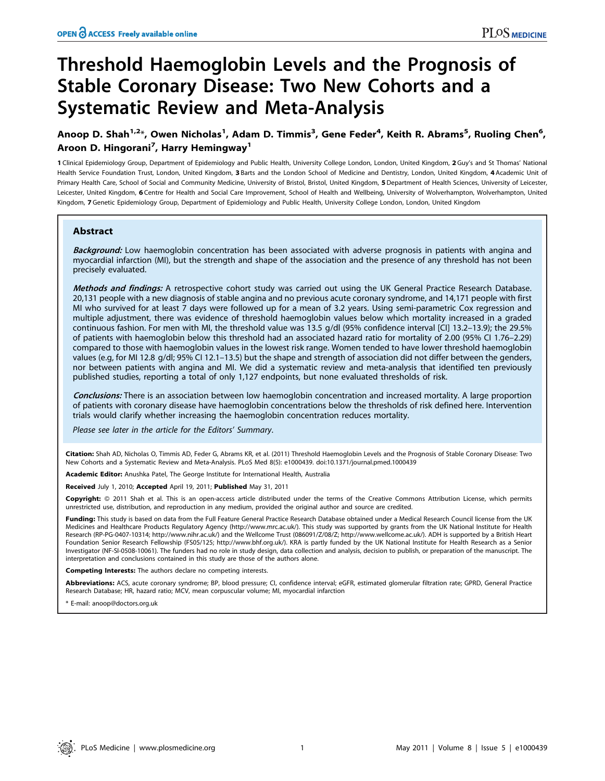# Threshold Haemoglobin Levels and the Prognosis of Stable Coronary Disease: Two New Cohorts and a Systematic Review and Meta-Analysis

## Anoop D. Shah $^{1,2}$ \*, Owen Nicholas $^{1}$ , Adam D. Timmis $^{3}$ , Gene Feder $^{4}$ , Keith R. Abrams $^{5}$ , Ruoling Chen $^{6}$ , Aroon D. Hingorani<sup>7</sup>, Harry Hemingway<sup>1</sup>

1 Clinical Epidemiology Group, Department of Epidemiology and Public Health, University College London, London, United Kingdom, 2 Guy's and St Thomas' National Health Service Foundation Trust, London, United Kingdom, 3 Barts and the London School of Medicine and Dentistry, London, United Kingdom, 4 Academic Unit of Primary Health Care, School of Social and Community Medicine, University of Bristol, Bristol, United Kingdom, 5 Department of Health Sciences, University of Leicester, Leicester, United Kingdom, 6 Centre for Health and Social Care Improvement, School of Health and Wellbeing, University of Wolverhampton, Wolverhampton, United Kingdom, 7 Genetic Epidemiology Group, Department of Epidemiology and Public Health, University College London, London, United Kingdom

## Abstract

**Background:** Low haemoglobin concentration has been associated with adverse prognosis in patients with angina and myocardial infarction (MI), but the strength and shape of the association and the presence of any threshold has not been precisely evaluated.

Methods and findings: A retrospective cohort study was carried out using the UK General Practice Research Database. 20,131 people with a new diagnosis of stable angina and no previous acute coronary syndrome, and 14,171 people with first MI who survived for at least 7 days were followed up for a mean of 3.2 years. Using semi-parametric Cox regression and multiple adjustment, there was evidence of threshold haemoglobin values below which mortality increased in a graded continuous fashion. For men with MI, the threshold value was 13.5 g/dl (95% confidence interval [CI] 13.2–13.9); the 29.5% of patients with haemoglobin below this threshold had an associated hazard ratio for mortality of 2.00 (95% CI 1.76–2.29) compared to those with haemoglobin values in the lowest risk range. Women tended to have lower threshold haemoglobin values (e.g, for MI 12.8 g/dl; 95% CI 12.1–13.5) but the shape and strength of association did not differ between the genders, nor between patients with angina and MI. We did a systematic review and meta-analysis that identified ten previously published studies, reporting a total of only 1,127 endpoints, but none evaluated thresholds of risk.

Conclusions: There is an association between low haemoglobin concentration and increased mortality. A large proportion of patients with coronary disease have haemoglobin concentrations below the thresholds of risk defined here. Intervention trials would clarify whether increasing the haemoglobin concentration reduces mortality.

Please see later in the article for the Editors' Summary.

Citation: Shah AD, Nicholas O, Timmis AD, Feder G, Abrams KR, et al. (2011) Threshold Haemoglobin Levels and the Prognosis of Stable Coronary Disease: Two New Cohorts and a Systematic Review and Meta-Analysis. PLoS Med 8(5): e1000439. doi:10.1371/journal.pmed.1000439

Academic Editor: Anushka Patel, The George Institute for International Health, Australia

Received July 1, 2010; Accepted April 19, 2011; Published May 31, 2011

Copyright: © 2011 Shah et al. This is an open-access article distributed under the terms of the Creative Commons Attribution License, which permits unrestricted use, distribution, and reproduction in any medium, provided the original author and source are credited.

**Funding:** This study is based on data from the Full Feature General Practice Research Database obtained under a Medical Research Council license from the UK Medicines and Healthcare Products Regulatory Agency (http://www.mrc.ac.uk/). This study was supported by grants from the UK National Institute for Health Research (RP-PG-0407-10314; http://www.nihr.ac.uk/) and the Wellcome Trust (086091/Z/08/Z; http://www.wellcome.ac.uk/). ADH is supported by a British Heart Foundation Senior Research Fellowship (FS05/125; http://www.bhf.org.uk/). KRA is partly funded by the UK National Institute for Health Research as a Senior Investigator (NF-SI-0508-10061). The funders had no role in study design, data collection and analysis, decision to publish, or preparation of the manuscript. The interpretation and conclusions contained in this study are those of the authors alone.

Competing Interests: The authors declare no competing interests.

Abbreviations: ACS, acute coronary syndrome; BP, blood pressure; CI, confidence interval; eGFR, estimated glomerular filtration rate; GPRD, General Practice Research Database; HR, hazard ratio; MCV, mean corpuscular volume; MI, myocardial infarction

E-mail: anoop@doctors.org.uk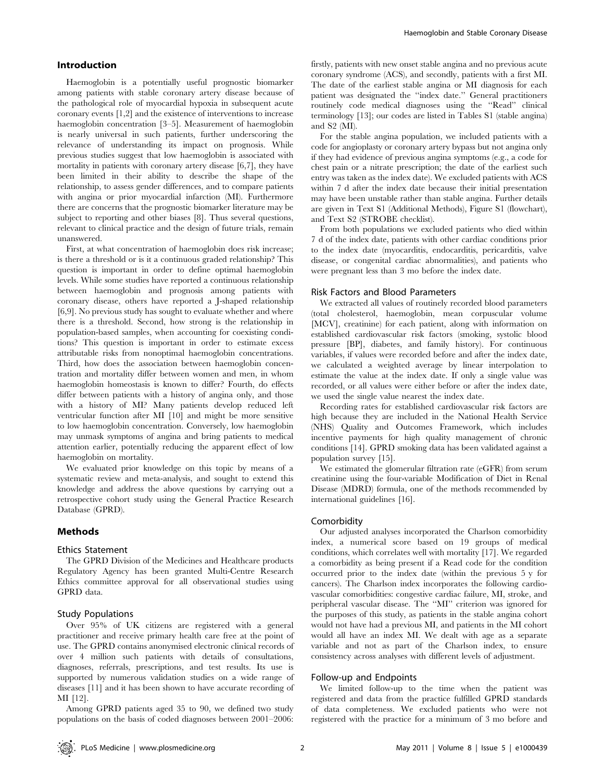#### Introduction

Haemoglobin is a potentially useful prognostic biomarker among patients with stable coronary artery disease because of the pathological role of myocardial hypoxia in subsequent acute coronary events [1,2] and the existence of interventions to increase haemoglobin concentration [3–5]. Measurement of haemoglobin is nearly universal in such patients, further underscoring the relevance of understanding its impact on prognosis. While previous studies suggest that low haemoglobin is associated with mortality in patients with coronary artery disease [6,7], they have been limited in their ability to describe the shape of the relationship, to assess gender differences, and to compare patients with angina or prior myocardial infarction (MI). Furthermore there are concerns that the prognostic biomarker literature may be subject to reporting and other biases [8]. Thus several questions, relevant to clinical practice and the design of future trials, remain unanswered.

First, at what concentration of haemoglobin does risk increase; is there a threshold or is it a continuous graded relationship? This question is important in order to define optimal haemoglobin levels. While some studies have reported a continuous relationship between haemoglobin and prognosis among patients with coronary disease, others have reported a J-shaped relationship [6,9]. No previous study has sought to evaluate whether and where there is a threshold. Second, how strong is the relationship in population-based samples, when accounting for coexisting conditions? This question is important in order to estimate excess attributable risks from nonoptimal haemoglobin concentrations. Third, how does the association between haemoglobin concentration and mortality differ between women and men, in whom haemoglobin homeostasis is known to differ? Fourth, do effects differ between patients with a history of angina only, and those with a history of MI? Many patients develop reduced left ventricular function after MI [10] and might be more sensitive to low haemoglobin concentration. Conversely, low haemoglobin may unmask symptoms of angina and bring patients to medical attention earlier, potentially reducing the apparent effect of low haemoglobin on mortality.

We evaluated prior knowledge on this topic by means of a systematic review and meta-analysis, and sought to extend this knowledge and address the above questions by carrying out a retrospective cohort study using the General Practice Research Database (GPRD).

#### Methods

#### Ethics Statement

The GPRD Division of the Medicines and Healthcare products Regulatory Agency has been granted Multi-Centre Research Ethics committee approval for all observational studies using GPRD data.

#### Study Populations

Over 95% of UK citizens are registered with a general practitioner and receive primary health care free at the point of use. The GPRD contains anonymised electronic clinical records of over 4 million such patients with details of consultations, diagnoses, referrals, prescriptions, and test results. Its use is supported by numerous validation studies on a wide range of diseases [11] and it has been shown to have accurate recording of MI [12].

Among GPRD patients aged 35 to 90, we defined two study populations on the basis of coded diagnoses between 2001–2006: firstly, patients with new onset stable angina and no previous acute coronary syndrome (ACS), and secondly, patients with a first MI. The date of the earliest stable angina or MI diagnosis for each patient was designated the ''index date.'' General practitioners routinely code medical diagnoses using the ''Read'' clinical terminology [13]; our codes are listed in Tables S1 (stable angina) and S2 (MI).

For the stable angina population, we included patients with a code for angioplasty or coronary artery bypass but not angina only if they had evidence of previous angina symptoms (e.g., a code for chest pain or a nitrate prescription; the date of the earliest such entry was taken as the index date). We excluded patients with ACS within 7 d after the index date because their initial presentation may have been unstable rather than stable angina. Further details are given in Text S1 (Additional Methods), Figure S1 (flowchart), and Text S2 (STROBE checklist).

From both populations we excluded patients who died within 7 d of the index date, patients with other cardiac conditions prior to the index date (myocarditis, endocarditis, pericarditis, valve disease, or congenital cardiac abnormalities), and patients who were pregnant less than 3 mo before the index date.

#### Risk Factors and Blood Parameters

We extracted all values of routinely recorded blood parameters (total cholesterol, haemoglobin, mean corpuscular volume [MCV], creatinine) for each patient, along with information on established cardiovascular risk factors (smoking, systolic blood pressure [BP], diabetes, and family history). For continuous variables, if values were recorded before and after the index date, we calculated a weighted average by linear interpolation to estimate the value at the index date. If only a single value was recorded, or all values were either before or after the index date, we used the single value nearest the index date.

Recording rates for established cardiovascular risk factors are high because they are included in the National Health Service (NHS) Quality and Outcomes Framework, which includes incentive payments for high quality management of chronic conditions [14]. GPRD smoking data has been validated against a population survey [15].

We estimated the glomerular filtration rate (eGFR) from serum creatinine using the four-variable Modification of Diet in Renal Disease (MDRD) formula, one of the methods recommended by international guidelines [16].

#### **Comorbidity**

Our adjusted analyses incorporated the Charlson comorbidity index, a numerical score based on 19 groups of medical conditions, which correlates well with mortality [17]. We regarded a comorbidity as being present if a Read code for the condition occurred prior to the index date (within the previous 5 y for cancers). The Charlson index incorporates the following cardiovascular comorbidities: congestive cardiac failure, MI, stroke, and peripheral vascular disease. The ''MI'' criterion was ignored for the purposes of this study, as patients in the stable angina cohort would not have had a previous MI, and patients in the MI cohort would all have an index MI. We dealt with age as a separate variable and not as part of the Charlson index, to ensure consistency across analyses with different levels of adjustment.

#### Follow-up and Endpoints

We limited follow-up to the time when the patient was registered and data from the practice fulfilled GPRD standards of data completeness. We excluded patients who were not registered with the practice for a minimum of 3 mo before and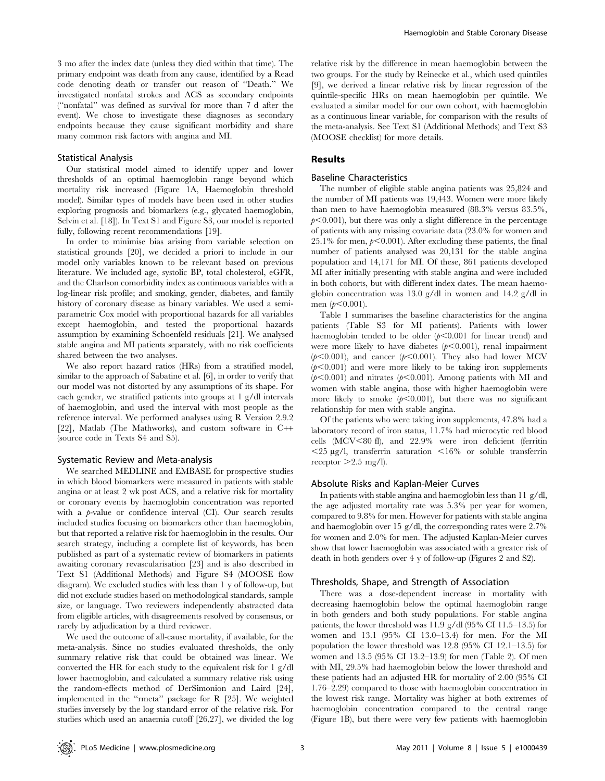3 mo after the index date (unless they died within that time). The primary endpoint was death from any cause, identified by a Read code denoting death or transfer out reason of ''Death.'' We investigated nonfatal strokes and ACS as secondary endpoints (''nonfatal'' was defined as survival for more than 7 d after the event). We chose to investigate these diagnoses as secondary endpoints because they cause significant morbidity and share many common risk factors with angina and MI.

#### Statistical Analysis

Our statistical model aimed to identify upper and lower thresholds of an optimal haemoglobin range beyond which mortality risk increased (Figure 1A, Haemoglobin threshold model). Similar types of models have been used in other studies exploring prognosis and biomarkers (e.g., glycated haemoglobin, Selvin et al. [18]). In Text S1 and Figure S3, our model is reported fully, following recent recommendations [19].

In order to minimise bias arising from variable selection on statistical grounds [20], we decided a priori to include in our model only variables known to be relevant based on previous literature. We included age, systolic BP, total cholesterol, eGFR, and the Charlson comorbidity index as continuous variables with a log-linear risk profile; and smoking, gender, diabetes, and family history of coronary disease as binary variables. We used a semiparametric Cox model with proportional hazards for all variables except haemoglobin, and tested the proportional hazards assumption by examining Schoenfeld residuals [21]. We analysed stable angina and MI patients separately, with no risk coefficients shared between the two analyses.

We also report hazard ratios (HRs) from a stratified model, similar to the approach of Sabatine et al. [6], in order to verify that our model was not distorted by any assumptions of its shape. For each gender, we stratified patients into groups at 1 g/dl intervals of haemoglobin, and used the interval with most people as the reference interval. We performed analyses using R Version 2.9.2 [22], Matlab (The Mathworks), and custom software in C++ (source code in Texts S4 and S5).

#### Systematic Review and Meta-analysis

We searched MEDLINE and EMBASE for prospective studies in which blood biomarkers were measured in patients with stable angina or at least 2 wk post ACS, and a relative risk for mortality or coronary events by haemoglobin concentration was reported with a  $p$ -value or confidence interval (CI). Our search results included studies focusing on biomarkers other than haemoglobin, but that reported a relative risk for haemoglobin in the results. Our search strategy, including a complete list of keywords, has been published as part of a systematic review of biomarkers in patients awaiting coronary revascularisation [23] and is also described in Text S1 (Additional Methods) and Figure S4 (MOOSE flow diagram). We excluded studies with less than 1 y of follow-up, but did not exclude studies based on methodological standards, sample size, or language. Two reviewers independently abstracted data from eligible articles, with disagreements resolved by consensus, or rarely by adjudication by a third reviewer.

We used the outcome of all-cause mortality, if available, for the meta-analysis. Since no studies evaluated thresholds, the only summary relative risk that could be obtained was linear. We converted the HR for each study to the equivalent risk for 1 g/dl lower haemoglobin, and calculated a summary relative risk using the random-effects method of DerSimonion and Laird [24], implemented in the ''rmeta'' package for R [25]. We weighted studies inversely by the log standard error of the relative risk. For studies which used an anaemia cutoff [26,27], we divided the log relative risk by the difference in mean haemoglobin between the two groups. For the study by Reinecke et al., which used quintiles [9], we derived a linear relative risk by linear regression of the quintile-specific HRs on mean haemoglobin per quintile. We evaluated a similar model for our own cohort, with haemoglobin as a continuous linear variable, for comparison with the results of the meta-analysis. See Text S1 (Additional Methods) and Text S3 (MOOSE checklist) for more details.

#### Results

#### Baseline Characteristics

The number of eligible stable angina patients was 25,824 and the number of MI patients was 19,443. Women were more likely than men to have haemoglobin measured (88.3% versus 83.5%,  $p<0.001$ , but there was only a slight difference in the percentage of patients with any missing covariate data (23.0% for women and 25.1% for men,  $p<0.001$ ). After excluding these patients, the final number of patients analysed was 20,131 for the stable angina population and 14,171 for MI. Of these, 861 patients developed MI after initially presenting with stable angina and were included in both cohorts, but with different index dates. The mean haemoglobin concentration was 13.0 g/dl in women and 14.2 g/dl in men  $(p<0.001)$ .

Table 1 summarises the baseline characteristics for the angina patients (Table S3 for MI patients). Patients with lower haemoglobin tended to be older  $(p<0.001$  for linear trend) and were more likely to have diabetes  $(b<0.001)$ , renal impairment  $(p<0.001)$ , and cancer  $(p<0.001)$ . They also had lower MCV  $(p<0.001)$  and were more likely to be taking iron supplements  $(p<0.001)$  and nitrates ( $p<0.001$ ). Among patients with MI and women with stable angina, those with higher haemoglobin were more likely to smoke  $(p<0.001)$ , but there was no significant relationship for men with stable angina.

Of the patients who were taking iron supplements, 47.8% had a laboratory record of iron status, 11.7% had microcytic red blood cells (MCV,80 fl), and 22.9% were iron deficient (ferritin  $<$ 25 µg/l, transferrin saturation  $<$ 16% or soluble transferrin receptor  $>2.5$  mg/l).

#### Absolute Risks and Kaplan-Meier Curves

In patients with stable angina and haemoglobin less than 11 g/dl, the age adjusted mortality rate was 5.3% per year for women, compared to 9.8% for men. However for patients with stable angina and haemoglobin over 15 g/dl, the corresponding rates were 2.7% for women and 2.0% for men. The adjusted Kaplan-Meier curves show that lower haemoglobin was associated with a greater risk of death in both genders over 4 y of follow-up (Figures 2 and S2).

#### Thresholds, Shape, and Strength of Association

There was a dose-dependent increase in mortality with decreasing haemoglobin below the optimal haemoglobin range in both genders and both study populations. For stable angina patients, the lower threshold was 11.9 g/dl (95% CI 11.5–13.5) for women and 13.1 (95% CI 13.0–13.4) for men. For the MI population the lower threshold was 12.8 (95% CI 12.1–13.5) for women and 13.5 (95% CI 13.2–13.9) for men (Table 2). Of men with MI, 29.5% had haemoglobin below the lower threshold and these patients had an adjusted HR for mortality of 2.00 (95% CI 1.76–2.29) compared to those with haemoglobin concentration in the lowest risk range. Mortality was higher at both extremes of haemoglobin concentration compared to the central range (Figure 1B), but there were very few patients with haemoglobin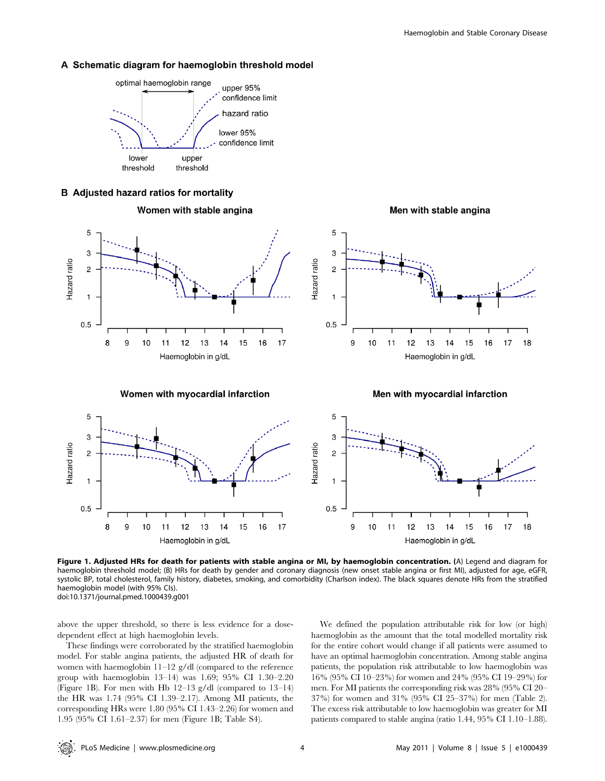#### A Schematic diagram for haemoglobin threshold model



Women with stable angina

**B** Adjusted hazard ratios for mortality



Women with myocardial infarction

Men with stable angina



Men with myocardial infarction



Figure 1. Adjusted HRs for death for patients with stable angina or MI, by haemoglobin concentration. (A) Legend and diagram for haemoglobin threshold model; (B) HRs for death by gender and coronary diagnosis (new onset stable angina or first MI), adjusted for age, eGFR, systolic BP, total cholesterol, family history, diabetes, smoking, and comorbidity (Charlson index). The black squares denote HRs from the stratified haemoglobin model (with 95% CIs). doi:10.1371/journal.pmed.1000439.g001

above the upper threshold, so there is less evidence for a dosedependent effect at high haemoglobin levels.

These findings were corroborated by the stratified haemoglobin model. For stable angina patients, the adjusted HR of death for women with haemoglobin 11-12 g/dl (compared to the reference group with haemoglobin 13–14) was 1.69; 95% CI 1.30–2.20 (Figure 1B). For men with Hb 12–13 g/dl (compared to 13–14) the HR was 1.74 (95% CI 1.39–2.17). Among MI patients, the corresponding HRs were 1.80 (95% CI 1.43–2.26) for women and 1.95 (95% CI 1.61–2.37) for men (Figure 1B; Table S4).

We defined the population attributable risk for low (or high) haemoglobin as the amount that the total modelled mortality risk for the entire cohort would change if all patients were assumed to have an optimal haemoglobin concentration. Among stable angina patients, the population risk attributable to low haemoglobin was 16% (95% CI 10–23%) for women and 24% (95% CI 19–29%) for men. For MI patients the corresponding risk was 28% (95% CI 20– 37%) for women and 31% (95% CI 25–37%) for men (Table 2). The excess risk attributable to low haemoglobin was greater for MI patients compared to stable angina (ratio 1.44, 95% CI 1.10–1.88).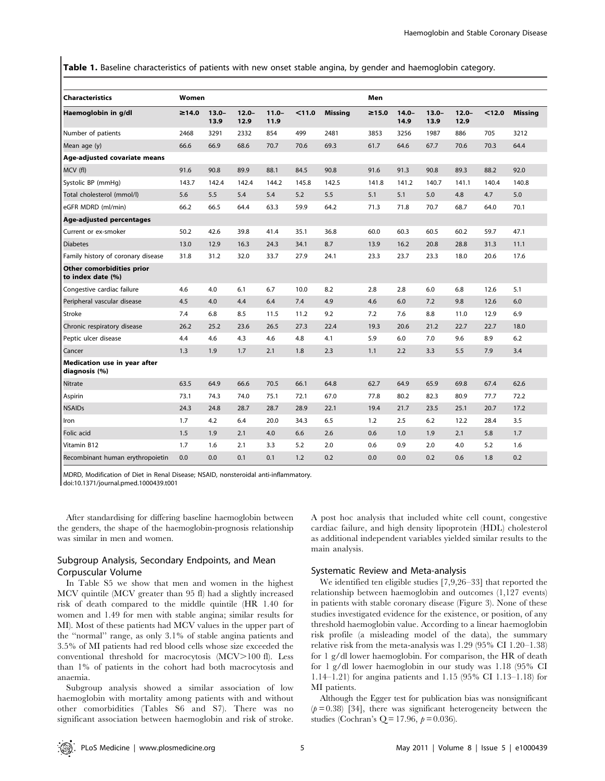Table 1. Baseline characteristics of patients with new onset stable angina, by gender and haemoglobin category.

| Characteristics                                | Women |                  |                  |                  |        |                | Men         |                  |                  |                  |        |                |
|------------------------------------------------|-------|------------------|------------------|------------------|--------|----------------|-------------|------------------|------------------|------------------|--------|----------------|
| Haemoglobin in g/dl                            | ≥14.0 | $13.0 -$<br>13.9 | $12.0 -$<br>12.9 | $11.0 -$<br>11.9 | < 11.0 | <b>Missing</b> | $\geq 15.0$ | $14.0 -$<br>14.9 | $13.0 -$<br>13.9 | $12.0 -$<br>12.9 | < 12.0 | <b>Missing</b> |
| Number of patients                             | 2468  | 3291             | 2332             | 854              | 499    | 2481           | 3853        | 3256             | 1987             | 886              | 705    | 3212           |
| Mean age (y)                                   | 66.6  | 66.9             | 68.6             | 70.7             | 70.6   | 69.3           | 61.7        | 64.6             | 67.7             | 70.6             | 70.3   | 64.4           |
| Age-adjusted covariate means                   |       |                  |                  |                  |        |                |             |                  |                  |                  |        |                |
| MCV (fl)                                       | 91.6  | 90.8             | 89.9             | 88.1             | 84.5   | 90.8           | 91.6        | 91.3             | 90.8             | 89.3             | 88.2   | 92.0           |
| Systolic BP (mmHq)                             | 143.7 | 142.4            | 142.4            | 144.2            | 145.8  | 142.5          | 141.8       | 141.2            | 140.7            | 141.1            | 140.4  | 140.8          |
| Total cholesterol (mmol/l)                     | 5.6   | 5.5              | 5.4              | 5.4              | 5.2    | 5.5            | 5.1         | 5.1              | 5.0              | 4.8              | 4.7    | 5.0            |
| eGFR MDRD (ml/min)                             | 66.2  | 66.5             | 64.4             | 63.3             | 59.9   | 64.2           | 71.3        | 71.8             | 70.7             | 68.7             | 64.0   | 70.1           |
| Age-adjusted percentages                       |       |                  |                  |                  |        |                |             |                  |                  |                  |        |                |
| Current or ex-smoker                           | 50.2  | 42.6             | 39.8             | 41.4             | 35.1   | 36.8           | 60.0        | 60.3             | 60.5             | 60.2             | 59.7   | 47.1           |
| <b>Diabetes</b>                                | 13.0  | 12.9             | 16.3             | 24.3             | 34.1   | 8.7            | 13.9        | 16.2             | 20.8             | 28.8             | 31.3   | 11.1           |
| Family history of coronary disease             | 31.8  | 31.2             | 32.0             | 33.7             | 27.9   | 24.1           | 23.3        | 23.7             | 23.3             | 18.0             | 20.6   | 17.6           |
| Other comorbidities prior<br>to index date (%) |       |                  |                  |                  |        |                |             |                  |                  |                  |        |                |
| Congestive cardiac failure                     | 4.6   | 4.0              | 6.1              | 6.7              | 10.0   | 8.2            | 2.8         | 2.8              | 6.0              | 6.8              | 12.6   | 5.1            |
| Peripheral vascular disease                    | 4.5   | 4.0              | 4.4              | 6.4              | 7.4    | 4.9            | 4.6         | 6.0              | 7.2              | 9.8              | 12.6   | 6.0            |
| Stroke                                         | 7.4   | 6.8              | 8.5              | 11.5             | 11.2   | 9.2            | 7.2         | 7.6              | 8.8              | 11.0             | 12.9   | 6.9            |
| Chronic respiratory disease                    | 26.2  | 25.2             | 23.6             | 26.5             | 27.3   | 22.4           | 19.3        | 20.6             | 21.2             | 22.7             | 22.7   | 18.0           |
| Peptic ulcer disease                           | 4.4   | 4.6              | 4.3              | 4.6              | 4.8    | 4.1            | 5.9         | 6.0              | 7.0              | 9.6              | 8.9    | 6.2            |
| Cancer                                         | 1.3   | 1.9              | 1.7              | 2.1              | 1.8    | 2.3            | 1.1         | 2.2              | 3.3              | 5.5              | 7.9    | 3.4            |
| Medication use in year after<br>diagnosis (%)  |       |                  |                  |                  |        |                |             |                  |                  |                  |        |                |
| Nitrate                                        | 63.5  | 64.9             | 66.6             | 70.5             | 66.1   | 64.8           | 62.7        | 64.9             | 65.9             | 69.8             | 67.4   | 62.6           |
| Aspirin                                        | 73.1  | 74.3             | 74.0             | 75.1             | 72.1   | 67.0           | 77.8        | 80.2             | 82.3             | 80.9             | 77.7   | 72.2           |
| <b>NSAIDs</b>                                  | 24.3  | 24.8             | 28.7             | 28.7             | 28.9   | 22.1           | 19.4        | 21.7             | 23.5             | 25.1             | 20.7   | 17.2           |
| Iron                                           | 1.7   | 4.2              | 6.4              | 20.0             | 34.3   | 6.5            | 1.2         | 2.5              | 6.2              | 12.2             | 28.4   | 3.5            |
| Folic acid                                     | 1.5   | 1.9              | 2.1              | 4.0              | 6.6    | 2.6            | 0.6         | 1.0              | 1.9              | 2.1              | 5.8    | 1.7            |
| Vitamin B12                                    | 1.7   | 1.6              | 2.1              | 3.3              | 5.2    | 2.0            | 0.6         | 0.9              | 2.0              | 4.0              | 5.2    | 1.6            |
| Recombinant human erythropoietin               | 0.0   | 0.0              | 0.1              | 0.1              | 1.2    | 0.2            | 0.0         | 0.0              | 0.2              | 0.6              | 1.8    | 0.2            |

MDRD, Modification of Diet in Renal Disease; NSAID, nonsteroidal anti-inflammatory.

doi:10.1371/journal.pmed.1000439.t001

After standardising for differing baseline haemoglobin between the genders, the shape of the haemoglobin-prognosis relationship was similar in men and women.

## Subgroup Analysis, Secondary Endpoints, and Mean Corpuscular Volume

In Table S5 we show that men and women in the highest MCV quintile (MCV greater than 95 fl) had a slightly increased risk of death compared to the middle quintile (HR 1.40 for women and 1.49 for men with stable angina; similar results for MI). Most of these patients had MCV values in the upper part of the ''normal'' range, as only 3.1% of stable angina patients and 3.5% of MI patients had red blood cells whose size exceeded the conventional threshold for macrocytosis (MCV>100 fl). Less than 1% of patients in the cohort had both macrocytosis and anaemia.

Subgroup analysis showed a similar association of low haemoglobin with mortality among patients with and without other comorbidities (Tables S6 and S7). There was no significant association between haemoglobin and risk of stroke.

A post hoc analysis that included white cell count, congestive cardiac failure, and high density lipoprotein (HDL) cholesterol as additional independent variables yielded similar results to the main analysis.

#### Systematic Review and Meta-analysis

We identified ten eligible studies [7,9,26–33] that reported the relationship between haemoglobin and outcomes (1,127 events) in patients with stable coronary disease (Figure 3). None of these studies investigated evidence for the existence, or position, of any threshold haemoglobin value. According to a linear haemoglobin risk profile (a misleading model of the data), the summary relative risk from the meta-analysis was 1.29 (95% CI 1.20–1.38) for 1 g/dl lower haemoglobin. For comparison, the HR of death for 1 g/dl lower haemoglobin in our study was 1.18 (95% CI 1.14–1.21) for angina patients and 1.15 (95% CI 1.13–1.18) for MI patients.

Although the Egger test for publication bias was nonsignificant  $(p=0.38)$  [34], there was significant heterogeneity between the studies (Cochran's Q = 17.96,  $p = 0.036$ ).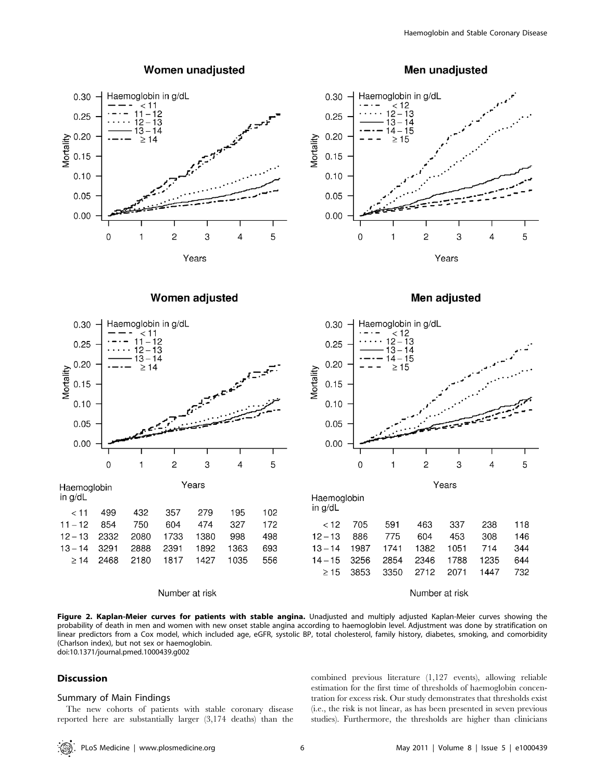

## Women unadjusted

Men unadjusted



Women adjusted



Haemoglobin in g/dL

|                                     |  |  | $<$ 11 499 432 357 279 195 102         |  |
|-------------------------------------|--|--|----------------------------------------|--|
| 11-12 854 750 604 474 327 172       |  |  |                                        |  |
| 12 - 13 2332 2080 1733 1380 998 498 |  |  |                                        |  |
| 13-14 3291 2888 2391 1892 1363 693  |  |  |                                        |  |
|                                     |  |  | $\geq$ 14 2468 2180 1817 1427 1035 556 |  |
|                                     |  |  |                                        |  |

#### Number at risk





| Haemoglobin<br>in a/dL |      |      |      |      |      |     |
|------------------------|------|------|------|------|------|-----|
| < 12                   | 705  | 591  | 463  | 337  | 238  | 118 |
| $12 - 13$              | 886  | 775  | 604  | 453  | 308  | 146 |
| $13 - 14$              | 1987 | 1741 | 1382 | 1051 | 714  | 344 |
| $14 - 15$              | 3256 | 2854 | 2346 | 1788 | 1235 | 644 |
| >15                    | 3853 | 3350 | 2712 | 2071 | 1447 | 732 |
|                        |      |      |      |      |      |     |

Number at risk

Figure 2. Kaplan-Meier curves for patients with stable angina. Unadjusted and multiply adjusted Kaplan-Meier curves showing the probability of death in men and women with new onset stable angina according to haemoglobin level. Adjustment was done by stratification on linear predictors from a Cox model, which included age, eGFR, systolic BP, total cholesterol, family history, diabetes, smoking, and comorbidity (Charlson index), but not sex or haemoglobin.

doi:10.1371/journal.pmed.1000439.g002

### Discussion

#### Summary of Main Findings

The new cohorts of patients with stable coronary disease reported here are substantially larger (3,174 deaths) than the combined previous literature (1,127 events), allowing reliable estimation for the first time of thresholds of haemoglobin concentration for excess risk. Our study demonstrates that thresholds exist (i.e., the risk is not linear, as has been presented in seven previous studies). Furthermore, the thresholds are higher than clinicians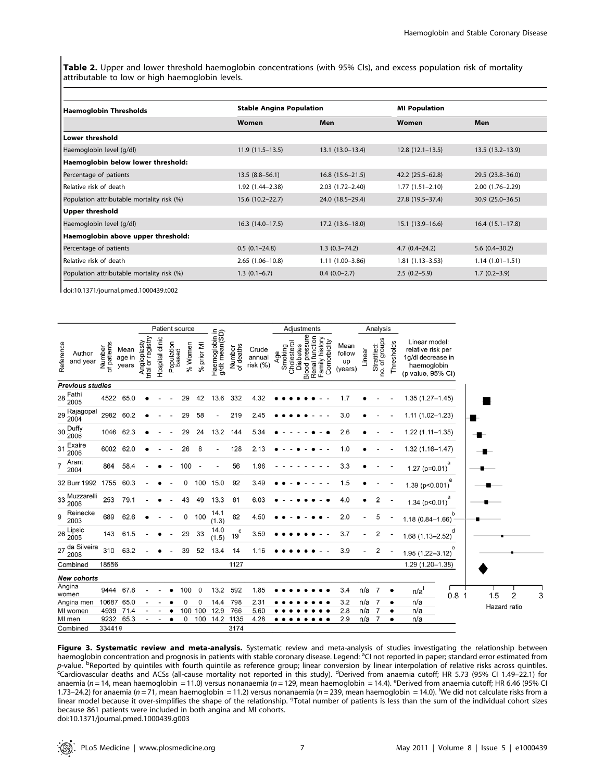Table 2. Upper and lower threshold haemoglobin concentrations (with 95% CIs), and excess population risk of mortality attributable to low or high haemoglobin levels.

| <b>Haemoglobin Thresholds</b>              | <b>Stable Angina Population</b> |                     | <b>MI Population</b> |                     |  |  |  |
|--------------------------------------------|---------------------------------|---------------------|----------------------|---------------------|--|--|--|
|                                            | Women                           | Men                 | Women                | Men                 |  |  |  |
| <b>Lower threshold</b>                     |                                 |                     |                      |                     |  |  |  |
| Haemoglobin level (g/dl)                   | $11.9(11.5-13.5)$               | $13.1(13.0-13.4)$   | $12.8(12.1-13.5)$    | $13.5(13.2 - 13.9)$ |  |  |  |
| Haemoglobin below lower threshold:         |                                 |                     |                      |                     |  |  |  |
| Percentage of patients                     | $13.5(8.8 - 56.1)$              | $16.8(15.6 - 21.5)$ | 42.2 (25.5–62.8)     | 29.5 (23.8–36.0)    |  |  |  |
| Relative risk of death                     | 1.92 (1.44–2.38)                | $2.03(1.72 - 2.40)$ | $1.77(1.51 - 2.10)$  | $2.00(1.76 - 2.29)$ |  |  |  |
| Population attributable mortality risk (%) | $15.6(10.2 - 22.7)$             | 24.0 (18.5-29.4)    | 27.8 (19.5-37.4)     | $30.9(25.0-36.5)$   |  |  |  |
| <b>Upper threshold</b>                     |                                 |                     |                      |                     |  |  |  |
| Haemoglobin level (g/dl)                   | $16.3(14.0-17.5)$               | $17.2(13.6 - 18.0)$ | $15.1(13.9-16.6)$    | $16.4(15.1-17.8)$   |  |  |  |
| Haemoglobin above upper threshold:         |                                 |                     |                      |                     |  |  |  |
| Percentage of patients                     | $0.5(0.1-24.8)$                 | $1.3(0.3 - 74.2)$   | $4.7(0.4 - 24.2)$    | $5.6(0.4 - 30.2)$   |  |  |  |
| Relative risk of death                     | $2.65(1.06 - 10.8)$             | $1.11(1.00-3.86)$   | $1.81(1.13 - 3.53)$  | $1.14(1.01 - 1.51)$ |  |  |  |
| Population attributable mortality risk (%) | $1.3(0.1-6.7)$                  | $0.4(0.0-2.7)$      | $2.5(0.2-5.9)$       | $1.7(0.2 - 3.9)$    |  |  |  |

doi:10.1371/journal.pmed.1000439.t002

|                                 |                       |                         |                                  |                 | Patient source      |         |            |                                   |                     |                             |                               | Adjustments                              |                                                 |                                 |        | Analysis                     |            |                                                                                             |                  |              |   |  |
|---------------------------------|-----------------------|-------------------------|----------------------------------|-----------------|---------------------|---------|------------|-----------------------------------|---------------------|-----------------------------|-------------------------------|------------------------------------------|-------------------------------------------------|---------------------------------|--------|------------------------------|------------|---------------------------------------------------------------------------------------------|------------------|--------------|---|--|
| Reference<br>Author<br>and year | Number<br>of patients | Mean<br>age in<br>years | trial or registry<br>Angioplasty | Hospital clinic | Population<br>based | % Women | % prior MI | Haernoglobin in<br>g/dl: mean(SD) | Number<br>of deaths | Crude<br>annual<br>risk (%) | Smoking<br>Cholesterol<br>Age | <b>Blood</b> pressure<br><b>Diabetes</b> | Renal function<br>Family history<br>Comorbidity | Mean<br>follow<br>up<br>(years) | Linear | Stratified:<br>no. of groups | Thresholds | Linear model:<br>relative risk per<br>1g/dl decrease in<br>haemoglobin<br>(p value, 95% CI) |                  |              |   |  |
| <b>Previous studies</b>         |                       |                         |                                  |                 |                     |         |            |                                   |                     |                             |                               |                                          |                                                 |                                 |        |                              |            |                                                                                             |                  |              |   |  |
| 28 Fathi<br>2005                | 4522                  | 65.0                    |                                  |                 |                     |         | 42         | 13.6                              | 332                 | 4.32                        |                               |                                          |                                                 | 1.7                             |        |                              |            | $1.35(1.27 - 1.45)$                                                                         |                  |              |   |  |
| 29 Rajagopal                    | 2982                  | 60.2                    |                                  |                 |                     | 29      | 58         |                                   | 219                 | 2.45                        |                               |                                          |                                                 | 3.0                             |        |                              |            | $1.11(1.02 - 1.23)$                                                                         |                  |              |   |  |
| 30 Duffy<br>2006                |                       | 1046 62.3               |                                  |                 |                     | 29      | 24         | 13.2                              | 144                 | 5.34                        |                               |                                          |                                                 | 2.6                             |        |                              |            | $1.22(1.11 - 1.35)$                                                                         |                  |              |   |  |
| Exaire<br>31<br>2006            | 6002                  | 62.0                    |                                  |                 |                     | 26      | 8          |                                   | 128                 | 2.13                        |                               |                                          |                                                 | 1.0                             |        |                              |            | 1.32 (1.16-1.47)                                                                            |                  |              |   |  |
| Arant<br>$\overline{7}$<br>2004 | 864                   | 58.4                    |                                  |                 |                     | 100     |            |                                   | 56                  | 1.96                        |                               |                                          |                                                 | 3.3                             |        |                              |            | 1.27 ( $p=0.01$ )                                                                           | a                |              |   |  |
| 32 Burr 1992                    | 1755                  | 60.3                    |                                  |                 |                     | 0       | 100        | 15.0                              | 92                  | 3.49                        |                               |                                          |                                                 | 1.5                             |        |                              |            | 1.39(p<0.001)                                                                               |                  |              |   |  |
| 33 Muzzarelli<br>2006           | 253                   | 79.1                    |                                  |                 |                     | 43      | 49         | 13.3                              | 61                  | 6.03                        |                               |                                          |                                                 | 4.0                             |        | $\overline{2}$               |            | $1.34$ ( $p<0.01$ )                                                                         |                  |              |   |  |
| Reinecke<br>9<br>2003           | 689                   | 62.6                    |                                  |                 |                     | 0       | 100        | 14.1<br>(1.3)                     | 62                  | 4.50                        |                               |                                          |                                                 | 2.0                             |        | 5                            |            | $1.18(0.84 - 1.66)$                                                                         | b                |              |   |  |
| 26 Lipsic<br>2005               | 143                   | 61.5                    |                                  |                 |                     | 29      | 33         | 14.0<br>(1.5)                     | $19^{c}$            | 3.59                        |                               |                                          |                                                 | 3.7                             |        | 2                            |            | $1.68(1.13 - 2.52)$                                                                         | d                |              |   |  |
| 27 da Silveira<br>2008          | 310                   | 63.2                    |                                  |                 |                     | 39      | 52         | 13.4                              | 14                  | 1.16                        |                               |                                          |                                                 | 3.9                             |        | $\overline{2}$               |            | $1.95(1.22 - 3.12)$                                                                         |                  |              |   |  |
| Combined                        | 18556                 |                         |                                  |                 |                     |         |            |                                   | 1127                |                             |                               |                                          |                                                 |                                 |        |                              |            | 1.29 (1.20-1.38)                                                                            |                  |              |   |  |
| New cohorts                     |                       |                         |                                  |                 |                     |         |            |                                   |                     |                             |                               |                                          |                                                 |                                 |        |                              |            |                                                                                             |                  |              |   |  |
| Angina<br>women                 | 9444                  | 67.8                    |                                  |                 |                     | 100     | 0          | 13.2                              | 592                 | 1.85                        |                               |                                          |                                                 | 3.4                             | n/a    | 7                            |            | n/af                                                                                        | 0.8 <sub>1</sub> | 1.5          | 2 |  |
| Angina men                      | 10687                 | 65.0                    |                                  |                 |                     |         | $\sqrt{ }$ | 14.4                              | 798                 | 2.31                        |                               |                                          |                                                 | 3.2                             | n/a    | 7                            |            | n/a                                                                                         |                  | Hazard ratio |   |  |
| MI women                        | 4939                  | 71.4                    |                                  |                 |                     | 100     | 100        | 12.9                              | 766                 | 5.60                        |                               |                                          |                                                 | 2.8                             | n/a    | $\overline{7}$               |            | n/a                                                                                         |                  |              |   |  |
| MI men                          | 9232                  | 65.3                    |                                  |                 |                     | 0       | 100        | 14.2                              | 1135                | 4.28                        |                               |                                          |                                                 | 2.9                             | n/a    | 7                            |            | n/a                                                                                         |                  |              |   |  |
| Combined                        | 334419                |                         |                                  |                 |                     |         |            |                                   | 3174                |                             |                               |                                          |                                                 |                                 |        |                              |            |                                                                                             |                  |              |   |  |

Figure 3. Systematic review and meta-analysis. Systematic review and meta-analysis of studies investigating the relationship between haemoglobin concentration and prognosis in patients with stable coronary disease. Legend: <sup>a</sup>CI not reported in paper; standard error estimated from p-value. <sup>b</sup>Reported by quintiles with fourth quintile as reference group; linear conversion by linear interpolation of relative risks across quintiles.<br><sup>c</sup>Cardiovascular deaths and ACSs (all-cause mortality not reported i anaemia (n = 14, mean haemoglobin = 11.0) versus nonanaemia (n = 129, mean haemoglobin = 14.4). <sup>e</sup>Derived from anaemia cutoff; HR 6.46 (95% CI 1.73–24.2) for anaemia (n = 71, mean haemoglobin = 11.2) versus nonanaemia (n = 239, mean haemoglobin = 14.0). <sup>f</sup>We did not calculate risks from a linear model because it over-simplifies the shape of the relationship. <sup>9</sup>Total number of patients is less than the sum of the individual cohort sizes because 861 patients were included in both angina and MI cohorts. doi:10.1371/journal.pmed.1000439.g003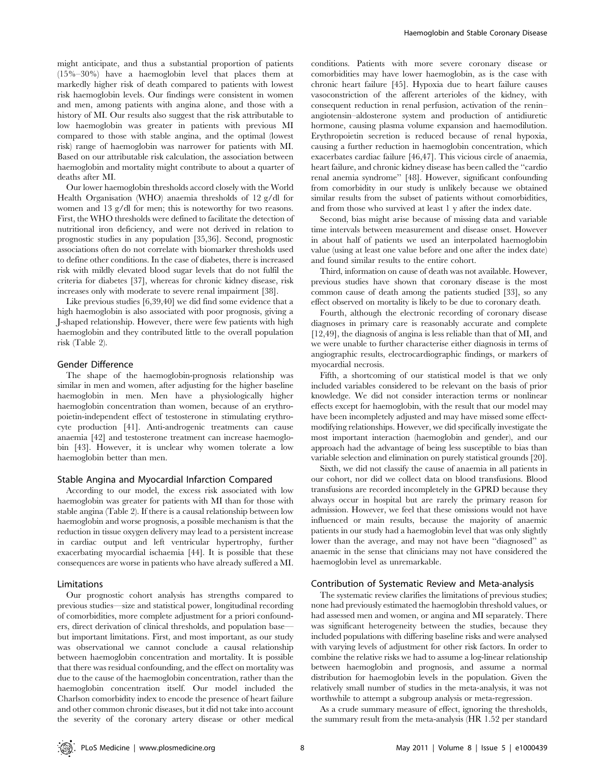might anticipate, and thus a substantial proportion of patients (15%–30%) have a haemoglobin level that places them at markedly higher risk of death compared to patients with lowest risk haemoglobin levels. Our findings were consistent in women and men, among patients with angina alone, and those with a history of MI. Our results also suggest that the risk attributable to low haemoglobin was greater in patients with previous MI compared to those with stable angina, and the optimal (lowest risk) range of haemoglobin was narrower for patients with MI. Based on our attributable risk calculation, the association between haemoglobin and mortality might contribute to about a quarter of deaths after MI.

Our lower haemoglobin thresholds accord closely with the World Health Organisation (WHO) anaemia thresholds of 12 g/dl for women and 13 g/dl for men; this is noteworthy for two reasons. First, the WHO thresholds were defined to facilitate the detection of nutritional iron deficiency, and were not derived in relation to prognostic studies in any population [35,36]. Second, prognostic associations often do not correlate with biomarker thresholds used to define other conditions. In the case of diabetes, there is increased risk with mildly elevated blood sugar levels that do not fulfil the criteria for diabetes [37], whereas for chronic kidney disease, risk increases only with moderate to severe renal impairment [38].

Like previous studies [6,39,40] we did find some evidence that a high haemoglobin is also associated with poor prognosis, giving a J-shaped relationship. However, there were few patients with high haemoglobin and they contributed little to the overall population risk (Table 2).

#### Gender Difference

The shape of the haemoglobin-prognosis relationship was similar in men and women, after adjusting for the higher baseline haemoglobin in men. Men have a physiologically higher haemoglobin concentration than women, because of an erythropoietin-independent effect of testosterone in stimulating erythrocyte production [41]. Anti-androgenic treatments can cause anaemia [42] and testosterone treatment can increase haemoglobin [43]. However, it is unclear why women tolerate a low haemoglobin better than men.

#### Stable Angina and Myocardial Infarction Compared

According to our model, the excess risk associated with low haemoglobin was greater for patients with MI than for those with stable angina (Table 2). If there is a causal relationship between low haemoglobin and worse prognosis, a possible mechanism is that the reduction in tissue oxygen delivery may lead to a persistent increase in cardiac output and left ventricular hypertrophy, further exacerbating myocardial ischaemia [44]. It is possible that these consequences are worse in patients who have already suffered a MI.

#### Limitations

Our prognostic cohort analysis has strengths compared to previous studies—size and statistical power, longitudinal recording of comorbidities, more complete adjustment for a priori confounders, direct derivation of clinical thresholds, and population base but important limitations. First, and most important, as our study was observational we cannot conclude a causal relationship between haemoglobin concentration and mortality. It is possible that there was residual confounding, and the effect on mortality was due to the cause of the haemoglobin concentration, rather than the haemoglobin concentration itself. Our model included the Charlson comorbidity index to encode the presence of heart failure and other common chronic diseases, but it did not take into account the severity of the coronary artery disease or other medical conditions. Patients with more severe coronary disease or comorbidities may have lower haemoglobin, as is the case with chronic heart failure [45]. Hypoxia due to heart failure causes vasoconstriction of the afferent arterioles of the kidney, with consequent reduction in renal perfusion, activation of the renin– angiotensin–aldosterone system and production of antidiuretic hormone, causing plasma volume expansion and haemodilution. Erythropoietin secretion is reduced because of renal hypoxia, causing a further reduction in haemoglobin concentration, which exacerbates cardiac failure [46,47]. This vicious circle of anaemia, heart failure, and chronic kidney disease has been called the ''cardio renal anemia syndrome'' [48]. However, significant confounding from comorbidity in our study is unlikely because we obtained similar results from the subset of patients without comorbidities, and from those who survived at least 1 y after the index date.

Second, bias might arise because of missing data and variable time intervals between measurement and disease onset. However in about half of patients we used an interpolated haemoglobin value (using at least one value before and one after the index date) and found similar results to the entire cohort.

Third, information on cause of death was not available. However, previous studies have shown that coronary disease is the most common cause of death among the patients studied [33], so any effect observed on mortality is likely to be due to coronary death.

Fourth, although the electronic recording of coronary disease diagnoses in primary care is reasonably accurate and complete [12,49], the diagnosis of angina is less reliable than that of MI, and we were unable to further characterise either diagnosis in terms of angiographic results, electrocardiographic findings, or markers of myocardial necrosis.

Fifth, a shortcoming of our statistical model is that we only included variables considered to be relevant on the basis of prior knowledge. We did not consider interaction terms or nonlinear effects except for haemoglobin, with the result that our model may have been incompletely adjusted and may have missed some effectmodifying relationships. However, we did specifically investigate the most important interaction (haemoglobin and gender), and our approach had the advantage of being less susceptible to bias than variable selection and elimination on purely statistical grounds [20].

Sixth, we did not classify the cause of anaemia in all patients in our cohort, nor did we collect data on blood transfusions. Blood transfusions are recorded incompletely in the GPRD because they always occur in hospital but are rarely the primary reason for admission. However, we feel that these omissions would not have influenced or main results, because the majority of anaemic patients in our study had a haemoglobin level that was only slightly lower than the average, and may not have been ''diagnosed'' as anaemic in the sense that clinicians may not have considered the haemoglobin level as unremarkable.

#### Contribution of Systematic Review and Meta-analysis

The systematic review clarifies the limitations of previous studies; none had previously estimated the haemoglobin threshold values, or had assessed men and women, or angina and MI separately. There was significant heterogeneity between the studies, because they included populations with differing baseline risks and were analysed with varying levels of adjustment for other risk factors. In order to combine the relative risks we had to assume a log-linear relationship between haemoglobin and prognosis, and assume a normal distribution for haemoglobin levels in the population. Given the relatively small number of studies in the meta-analysis, it was not worthwhile to attempt a subgroup analysis or meta-regression.

As a crude summary measure of effect, ignoring the thresholds, the summary result from the meta-analysis (HR 1.52 per standard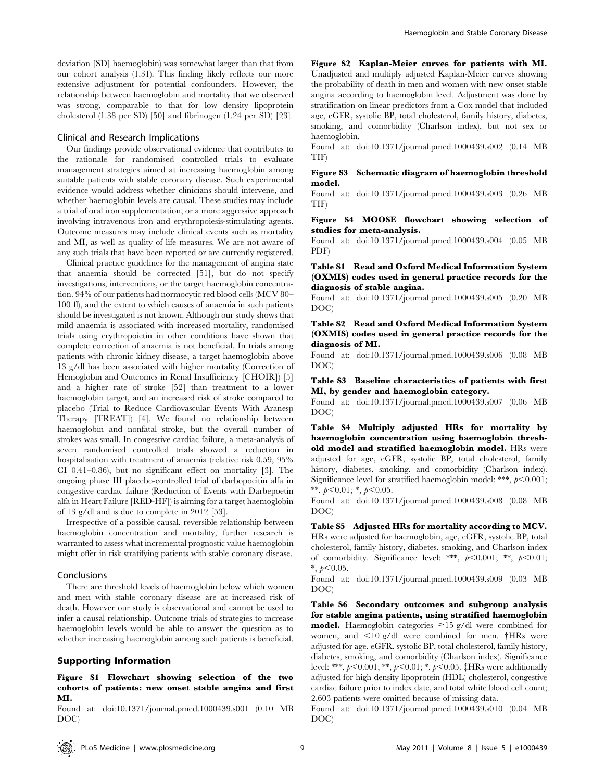deviation [SD] haemoglobin) was somewhat larger than that from our cohort analysis (1.31). This finding likely reflects our more extensive adjustment for potential confounders. However, the relationship between haemoglobin and mortality that we observed was strong, comparable to that for low density lipoprotein cholesterol (1.38 per SD) [50] and fibrinogen (1.24 per SD) [23].

#### Clinical and Research Implications

Our findings provide observational evidence that contributes to the rationale for randomised controlled trials to evaluate management strategies aimed at increasing haemoglobin among suitable patients with stable coronary disease. Such experimental evidence would address whether clinicians should intervene, and whether haemoglobin levels are causal. These studies may include a trial of oral iron supplementation, or a more aggressive approach involving intravenous iron and erythropoiesis-stimulating agents. Outcome measures may include clinical events such as mortality and MI, as well as quality of life measures. We are not aware of any such trials that have been reported or are currently registered.

Clinical practice guidelines for the management of angina state that anaemia should be corrected [51], but do not specify investigations, interventions, or the target haemoglobin concentration. 94% of our patients had normocytic red blood cells (MCV 80– 100 fl), and the extent to which causes of anaemia in such patients should be investigated is not known. Although our study shows that mild anaemia is associated with increased mortality, randomised trials using erythropoietin in other conditions have shown that complete correction of anaemia is not beneficial. In trials among patients with chronic kidney disease, a target haemoglobin above 13 g/dl has been associated with higher mortality (Correction of Hemoglobin and Outcomes in Renal Insufficiency [CHOIR]) [5] and a higher rate of stroke [52] than treatment to a lower haemoglobin target, and an increased risk of stroke compared to placebo (Trial to Reduce Cardiovascular Events With Aranesp Therapy [TREAT]) [4]. We found no relationship between haemoglobin and nonfatal stroke, but the overall number of strokes was small. In congestive cardiac failure, a meta-analysis of seven randomised controlled trials showed a reduction in hospitalisation with treatment of anaemia (relative risk 0.59, 95% CI 0.41–0.86), but no significant effect on mortality [3]. The ongoing phase III placebo-controlled trial of darbopoeitin alfa in congestive cardiac failure (Reduction of Events with Darbepoetin alfa in Heart Failure [RED-HF]) is aiming for a target haemoglobin of 13 g/dl and is due to complete in 2012 [53].

Irrespective of a possible causal, reversible relationship between haemoglobin concentration and mortality, further research is warranted to assess what incremental prognostic value haemoglobin might offer in risk stratifying patients with stable coronary disease.

#### Conclusions

There are threshold levels of haemoglobin below which women and men with stable coronary disease are at increased risk of death. However our study is observational and cannot be used to infer a causal relationship. Outcome trials of strategies to increase haemoglobin levels would be able to answer the question as to whether increasing haemoglobin among such patients is beneficial.

#### Supporting Information

#### Figure S1 Flowchart showing selection of the two cohorts of patients: new onset stable angina and first MI.

Found at: doi:10.1371/journal.pmed.1000439.s001 (0.10 MB DOC)

Figure S2 Kaplan-Meier curves for patients with MI. Unadjusted and multiply adjusted Kaplan-Meier curves showing the probability of death in men and women with new onset stable angina according to haemoglobin level. Adjustment was done by stratification on linear predictors from a Cox model that included age, eGFR, systolic BP, total cholesterol, family history, diabetes, smoking, and comorbidity (Charlson index), but not sex or haemoglobin.

Found at: doi:10.1371/journal.pmed.1000439.s002 (0.14 MB TIF)

#### Figure S3 Schematic diagram of haemoglobin threshold model.

Found at: doi:10.1371/journal.pmed.1000439.s003 (0.26 MB TIF)

#### Figure S4 MOOSE flowchart showing selection of studies for meta-analysis.

Found at: doi:10.1371/journal.pmed.1000439.s004 (0.05 MB PDF)

#### Table S1 Read and Oxford Medical Information System (OXMIS) codes used in general practice records for the diagnosis of stable angina.

Found at: doi:10.1371/journal.pmed.1000439.s005 (0.20 MB DOC)

Table S2 Read and Oxford Medical Information System (OXMIS) codes used in general practice records for the diagnosis of MI.

Found at: doi:10.1371/journal.pmed.1000439.s006 (0.08 MB DOC)

Table S3 Baseline characteristics of patients with first MI, by gender and haemoglobin category.

Found at: doi:10.1371/journal.pmed.1000439.s007 (0.06 MB DOC)

Table S4 Multiply adjusted HRs for mortality by haemoglobin concentration using haemoglobin threshold model and stratified haemoglobin model. HRs were adjusted for age, eGFR, systolic BP, total cholesterol, family history, diabetes, smoking, and comorbidity (Charlson index). Significance level for stratified haemoglobin model: \*\*\*,  $p<0.001$ ; \*\*,  $p<0.01$ ; \*,  $p<0.05$ .

Found at: doi:10.1371/journal.pmed.1000439.s008 (0.08 MB DOC)

Table S5 Adjusted HRs for mortality according to MCV. HRs were adjusted for haemoglobin, age, eGFR, systolic BP, total cholesterol, family history, diabetes, smoking, and Charlson index of comorbidity. Significance level: \*\*\*,  $p<0.001$ ; \*\*,  $p<0.01$ ; \*,  $p<0.05$ .

Found at: doi:10.1371/journal.pmed.1000439.s009 (0.03 MB DOC)

Table S6 Secondary outcomes and subgroup analysis for stable angina patients, using stratified haemoglobin **model.** Haemoglobin categories  $\geq 15$  g/dl were combined for women, and  $\leq 10$  g/dl were combined for men.  $\dagger$ HRs were adjusted for age, eGFR, systolic BP, total cholesterol, family history, diabetes, smoking, and comorbidity (Charlson index). Significance level: \*\*\*,  $p<0.001$ ; \*\*,  $p<0.01$ ; \*,  $p<0.05$ .  $\ddagger$ HRs were additionally adjusted for high density lipoprotein (HDL) cholesterol, congestive cardiac failure prior to index date, and total white blood cell count; 2,603 patients were omitted because of missing data.

Found at: doi:10.1371/journal.pmed.1000439.s010 (0.04 MB DOC)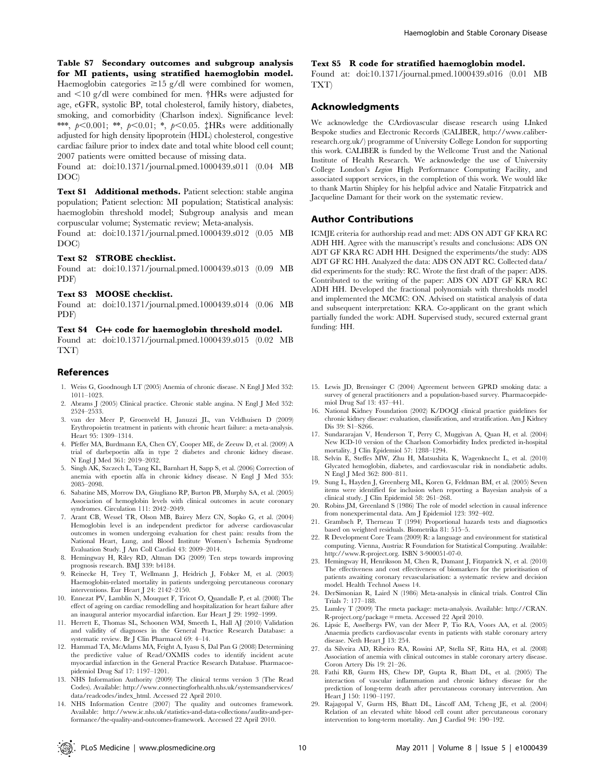Table S7 Secondary outcomes and subgroup analysis for MI patients, using stratified haemoglobin model. Haemoglobin categories  $\geq 15$  g/dl were combined for women, and  $\leq$ 10 g/dl were combined for men.  $\dagger$ HRs were adjusted for age, eGFR, systolic BP, total cholesterol, family history, diabetes, smoking, and comorbidity (Charlson index). Significance level: \*\*\*,  $p<0.001$ ; \*\*,  $p<0.01$ ; \*,  $p<0.05$ .  $\ddagger$ HRs were additionally adjusted for high density lipoprotein (HDL) cholesterol, congestive cardiac failure prior to index date and total white blood cell count; 2007 patients were omitted because of missing data.

Found at: doi:10.1371/journal.pmed.1000439.s011 (0.04 MB DOC)

Text S1 Additional methods. Patient selection: stable angina population; Patient selection: MI population; Statistical analysis: haemoglobin threshold model; Subgroup analysis and mean corpuscular volume; Systematic review; Meta-analysis.

Found at: doi:10.1371/journal.pmed.1000439.s012 (0.05 MB DOC)

#### Text S2 STROBE checklist.

Found at: doi:10.1371/journal.pmed.1000439.s013 (0.09 MB PDF)

#### Text S3 MOOSE checklist.

Found at: doi:10.1371/journal.pmed.1000439.s014 (0.06 MB PDF)

#### Text S4 C++ code for haemoglobin threshold model.

Found at: doi:10.1371/journal.pmed.1000439.s015 (0.02 MB TXT)

#### References

- 1. Weiss G, Goodnough LT (2005) Anemia of chronic disease. N Engl J Med 352: 1011–1023.
- 2. Abrams J (2005) Clinical practice. Chronic stable angina. N Engl J Med 352: 2524–2533.
- 3. van der Meer P, Groenveld H, Januzzi JL, van Veldhuisen D (2009) Erythropoietin treatment in patients with chronic heart failure: a meta-analysis. Heart 95: 1309–1314.
- 4. Pfeffer MA, Burdmann EA, Chen CY, Cooper ME, de Zeeuw D, et al. (2009) A trial of darbepoetin alfa in type 2 diabetes and chronic kidney disease. N Engl J Med 361: 2019–2032.
- 5. Singh AK, Szczech L, Tang KL, Barnhart H, Sapp S, et al. (2006) Correction of anemia with epoetin alfa in chronic kidney disease. N Engl J Med 355: 2085–2098.
- 6. Sabatine MS, Morrow DA, Giugliano RP, Burton PB, Murphy SA, et al. (2005) Association of hemoglobin levels with clinical outcomes in acute coronary syndromes. Circulation 111: 2042–2049.
- 7. Arant CB, Wessel TR, Olson MB, Bairey Merz CN, Sopko G, et al. (2004) Hemoglobin level is an independent predictor for adverse cardiovascular outcomes in women undergoing evaluation for chest pain: results from the National Heart, Lung, and Blood Institute Women's Ischemia Syndrome Evaluation Study. J Am Coll Cardiol 43: 2009–2014.
- 8. Hemingway H, Riley RD, Altman DG (2009) Ten steps towards improving prognosis research. BMJ 339: b4184.
- 9. Reinecke H, Trey T, Wellmann J, Heidrich J, Fobker M, et al. (2003) Haemoglobin-related mortality in patients undergoing percutaneous coronary interventions. Eur Heart J 24: 2142–2150.
- 10. Ennezat PV, Lamblin N, Mouquet F, Tricot O, Quandalle P, et al. (2008) The effect of ageing on cardiac remodelling and hospitalization for heart failure after an inaugural anterior myocardial infarction. Eur Heart J 29: 1992–1999.
- 11. Herrett E, Thomas SL, Schoonen WM, Smeeth L, Hall AJ (2010) Validation and validity of diagnoses in the General Practice Research Database: a systematic review. Br J Clin Pharmacol 69: 4–14.
- 12. Hammad TA, McAdams MA, Feight A, Iyasu S, Dal Pan G (2008) Determining the predictive value of Read/OXMIS codes to identify incident acute myocardial infarction in the General Practice Research Database. Pharmacoepidemiol Drug Saf 17: 1197–1201.
- 13. NHS Information Authority (2009) The clinical terms version 3 (The Read Codes). Available: http://www.connectingforhealth.nhs.uk/systemsandservices/ data/readcodes/index\_html. Accessed 22 April 2010.
- 14. NHS Information Centre (2007) The quality and outcomes framework. Available: http://www.ic.nhs.uk/statistics-and-data-collections/audits-and-performance/the-quality-and-outcomes-framework. Accessed 22 April 2010.

#### Text S5 R code for stratified haemoglobin model.

Found at: doi:10.1371/journal.pmed.1000439.s016 (0.01 MB TXT)

#### Acknowledgments

We acknowledge the CArdiovascular disease research using LInked Bespoke studies and Electronic Records (CALIBER, http://www.caliberresearch.org.uk/) programme of University College London for supporting this work. CALIBER is funded by the Wellcome Trust and the National Institute of Health Research. We acknowledge the use of University College London's Legion High Performance Computing Facility, and associated support services, in the completion of this work. We would like to thank Martin Shipley for his helpful advice and Natalie Fitzpatrick and Jacqueline Damant for their work on the systematic review.

#### Author Contributions

ICMJE criteria for authorship read and met: ADS ON ADT GF KRA RC ADH HH. Agree with the manuscript's results and conclusions: ADS ON ADT GF KRA RC ADH HH. Designed the experiments/the study: ADS ADT GF RC HH. Analyzed the data: ADS ON ADT RC. Collected data/ did experiments for the study: RC. Wrote the first draft of the paper: ADS. Contributed to the writing of the paper: ADS ON ADT GF KRA RC ADH HH. Developed the fractional polynomials with thresholds model and implemented the MCMC: ON. Advised on statistical analysis of data and subsequent interpretation: KRA. Co-applicant on the grant which partially funded the work: ADH. Supervised study, secured external grant funding: HH.

- 15. Lewis JD, Brensinger C (2004) Agreement between GPRD smoking data: a survey of general practitioners and a population-based survey. Pharmacoepidemiol Drug Saf 13: 437–441.
- 16. National Kidney Foundation (2002) K/DOQI clinical practice guidelines for chronic kidney disease: evaluation, classification, and stratification. Am J Kidney Dis 39: S1–S266.
- 17. Sundararajan V, Henderson T, Perry C, Muggivan A, Quan H, et al. (2004) New ICD-10 version of the Charlson Comorbidity Index predicted in-hospital mortality. J Clin Epidemiol 57: 1288–1294.
- 18. Selvin E, Steffes MW, Zhu H, Matsushita K, Wagenknecht L, et al. (2010) Glycated hemoglobin, diabetes, and cardiovascular risk in nondiabetic adults. N Engl J Med 362: 800–811.
- 19. Sung L, Hayden J, Greenberg ML, Koren G, Feldman BM, et al. (2005) Seven items were identified for inclusion when reporting a Bayesian analysis of a clinical study. J Clin Epidemiol 58: 261–268.
- 20. Robins JM, Greenland S (1986) The role of model selection in causal inference from nonexperimental data. Am J Epidemiol 123: 392–402.
- 21. Grambsch P, Therneau T (1994) Proportional hazards tests and diagnostics based on weighted residuals. Biometrika 81: 515–5.
- 22. R Development Core Team (2009) R: a language and environment for statistical computing. Vienna, Austria: R Foundation for Statistical Computing. Available: http://www.R-project.org. ISBN 3-900051-07-0.
- 23. Hemingway H, Henriksson M, Chen R, Damant J, Fitzpatrick N, et al. (2010) The effectiveness and cost effectiveness of biomarkers for the prioritisation of patients awaiting coronary revascularisation: a systematic review and decision model. Health Technol Assess 14.
- 24. DerSimonian R, Laird N (1986) Meta-analysis in clinical trials. Control Clin Trials 7: 177–188.
- 25. Lumley T (2009) The rmeta package: meta-analysis. Available: http://CRAN. R-project.org/package = rmeta. Accessed 22 April 2010.
- 26. Lipsic E, Asselbergs FW, van der Meer P, Tio RA, Voors AA, et al. (2005) Anaemia predicts cardiovascular events in patients with stable coronary artery disease. Neth Heart J 13: 254.
- 27. da Silveira AD, Ribeiro RA, Rossini AP, Stella SF, Ritta HA, et al. (2008) Association of anemia with clinical outcomes in stable coronary artery disease. Coron Artery Dis 19: 21–26.
- 28. Fathi RB, Gurm HS, Chew DP, Gupta R, Bhatt DL, et al. (2005) The interaction of vascular inflammation and chronic kidney disease for the prediction of long-term death after percutaneous coronary intervention. Am Heart J 150: 1190–1197.
- 29. Rajagopal V, Gurm HS, Bhatt DL, Lincoff AM, Tcheng JE, et al. (2004) Relation of an elevated white blood cell count after percutaneous coronary intervention to long-term mortality. Am J Cardiol 94: 190–192.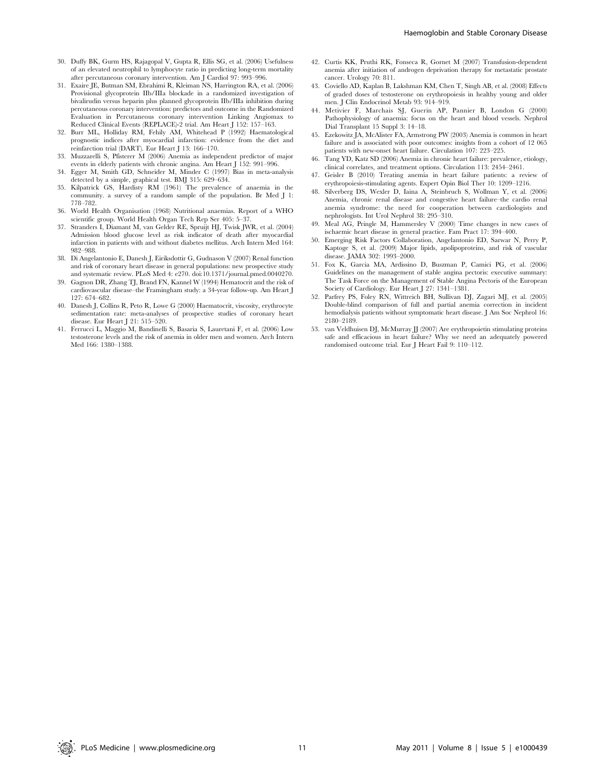- 30. Duffy BK, Gurm HS, Rajagopal V, Gupta R, Ellis SG, et al. (2006) Usefulness of an elevated neutrophil to lymphocyte ratio in predicting long-term mortality after percutaneous coronary intervention. Am J Cardiol 97: 993–996.
- 31. Exaire JE, Butman SM, Ebrahimi R, Kleiman NS, Harrington RA, et al. (2006) Provisional glycoprotein IIb/IIIa blockade in a randomized investigation of bivalirudin versus heparin plus planned glycoprotein IIb/IIIa inhibition during percutaneous coronary intervention: predictors and outcome in the Randomized Evaluation in Percutaneous coronary intervention Linking Angiomax to Reduced Clinical Events (REPLACE)-2 trial. Am Heart J 152: 157–163.
- 32. Burr ML, Holliday RM, Fehily AM, Whitehead P (1992) Haematological prognostic indices after myocardial infarction: evidence from the diet and reinfarction trial (DART). Eur Heart J 13: 166–170.
- 33. Muzzarelli S, Pfisterer M (2006) Anemia as independent predictor of major events in elderly patients with chronic angina. Am Heart J 152: 991–996.
- 34. Egger M, Smith GD, Schneider M, Minder C (1997) Bias in meta-analysis detected by a simple, graphical test. BMJ 315: 629–634.
- 35. Kilpatrick GS, Hardisty RM (1961) The prevalence of anaemia in the community. a survey of a random sample of the population. Br Med J 1: 778–782.
- 36. World Health Organisation (1968) Nutritional anaemias. Report of a WHO scientific group. World Health Organ Tech Rep Ser 405: 5–37
- 37. Stranders I, Diamant M, van Gelder RE, Spruijt HJ, Twisk JWR, et al. (2004) Admission blood glucose level as risk indicator of death after myocardial infarction in patients with and without diabetes mellitus. Arch Intern Med 164: 982–988.
- 38. Di Angelantonio E, Danesh J, Eiriksdottir G, Gudnason V (2007) Renal function and risk of coronary heart disease in general populations: new prospective study and systematic review. PLoS Med 4: e270. doi:10.1371/journal.pmed.0040270.
- 39. Gagnon DR, Zhang TJ, Brand FN, Kannel W (1994) Hematocrit and the risk of cardiovascular disease–the Framingham study: a 34-year follow-up. Am Heart J 127: 674–682.
- 40. Danesh J, Collins R, Peto R, Lowe G (2000) Haematocrit, viscosity, erythrocyte sedimentation rate: meta-analyses of prospective studies of coronary heart disease. Eur Heart J 21: 515–520.
- 41. Ferrucci L, Maggio M, Bandinelli S, Basaria S, Lauretani F, et al. (2006) Low testosterone levels and the risk of anemia in older men and women. Arch Intern Med 166: 1380–1388.
- 42. Curtis KK, Pruthi RK, Fonseca R, Gornet M (2007) Transfusion-dependent anemia after initiation of androgen deprivation therapy for metastatic prostate cancer. Urology 70: 811.
- 43. Coviello AD, Kaplan B, Lakshman KM, Chen T, Singh AB, et al. (2008) Effects of graded doses of testosterone on erythropoiesis in healthy young and older men. J Clin Endocrinol Metab 93: 914–919.
- 44. Metivier F, Marchais SJ, Guerin AP, Pannier B, London G (2000) Pathophysiology of anaemia: focus on the heart and blood vessels. Nephrol Dial Transplant 15 Suppl 3: 14–18.
- 45. Ezekowitz JA, McAlister FA, Armstrong PW (2003) Anemia is common in heart failure and is associated with poor outcomes: insights from a cohort of 12 065 patients with new-onset heart failure. Circulation 107: 223–225.
- 46. Tang YD, Katz SD (2006) Anemia in chronic heart failure: prevalence, etiology, clinical correlates, and treatment options. Circulation 113: 2454–2461.
- 47. Geisler B (2010) Treating anemia in heart failure patients: a review of erythropoiesis-stimulating agents. Expert Opin Biol Ther 10: 1209–1216.
- 48. Silverberg DS, Wexler D, Iaina A, Steinbruch S, Wollman Y, et al. (2006) Anemia, chronic renal disease and congestive heart failure–the cardio renal anemia syndrome: the need for cooperation between cardiologists and nephrologists. Int Urol Nephrol 38: 295–310.
- 49. Meal AG, Pringle M, Hammersley V (2000) Time changes in new cases of ischaemic heart disease in general practice. Fam Pract 17: 394–400.
- 50. Emerging Risk Factors Collaboration, Angelantonio ED, Sarwar N, Perry P, Kaptoge S, et al. (2009) Major lipids, apolipoproteins, and risk of vascular disease. JAMA 302: 1993–2000.
- 51. Fox K, Garcia MA, Ardissino D, Buszman P, Camici PG, et al. (2006) Guidelines on the management of stable angina pectoris: executive summary: The Task Force on the Management of Stable Angina Pectoris of the European Society of Cardiology. Eur Heart J 27: 1341–1381.
- 52. Parfrey PS, Foley RN, Wittreich BH, Sullivan DJ, Zagari MJ, et al. (2005) Double-blind comparison of full and partial anemia correction in incident hemodialysis patients without symptomatic heart disease. J Am Soc Nephrol 16: 2180–2189.
- 53. van Veldhuisen DJ, McMurray JJ (2007) Are erythropoietin stimulating proteins safe and efficacious in heart failure? Why we need an adequately powered randomised outcome trial. Eur J Heart Fail 9: 110–112.